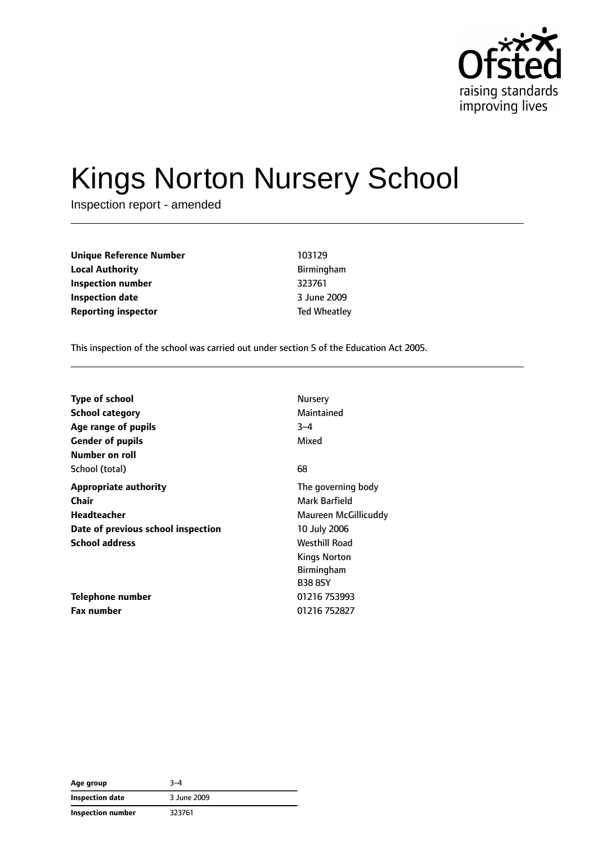

# Kings Norton Nursery School

Inspection report - amended

| Unique Reference Number    | 103129              |
|----------------------------|---------------------|
| Local Authority            | Birmingham          |
| Inspection number          | 323761              |
| Inspection date            | 3 June 2009         |
| <b>Reporting inspector</b> | <b>Ted Wheatley</b> |
|                            |                     |

This inspection of the school was carried out under section 5 of the Education Act 2005.

| <b>Type of school</b>              | Nursery              |
|------------------------------------|----------------------|
| <b>School category</b>             | Maintained           |
| Age range of pupils                | $3 - 4$              |
| <b>Gender of pupils</b>            | Mixed                |
| Number on roll                     |                      |
| School (total)                     | 68                   |
| <b>Appropriate authority</b>       | The governing body   |
| Chair                              | Mark Barfield        |
| Headteacher                        | Maureen McGillicuddy |
| Date of previous school inspection | 10 July 2006         |
| <b>School address</b>              | <b>Westhill Road</b> |
|                                    | Kings Norton         |
|                                    | <b>Birmingham</b>    |
|                                    | <b>B38 8SY</b>       |
| Telephone number                   | 01216 753993         |
| Fax number                         | 01216 752827         |

| Age group                | $3 - 4$     |
|--------------------------|-------------|
| <b>Inspection date</b>   | 3 June 2009 |
| <b>Inspection number</b> | 323761      |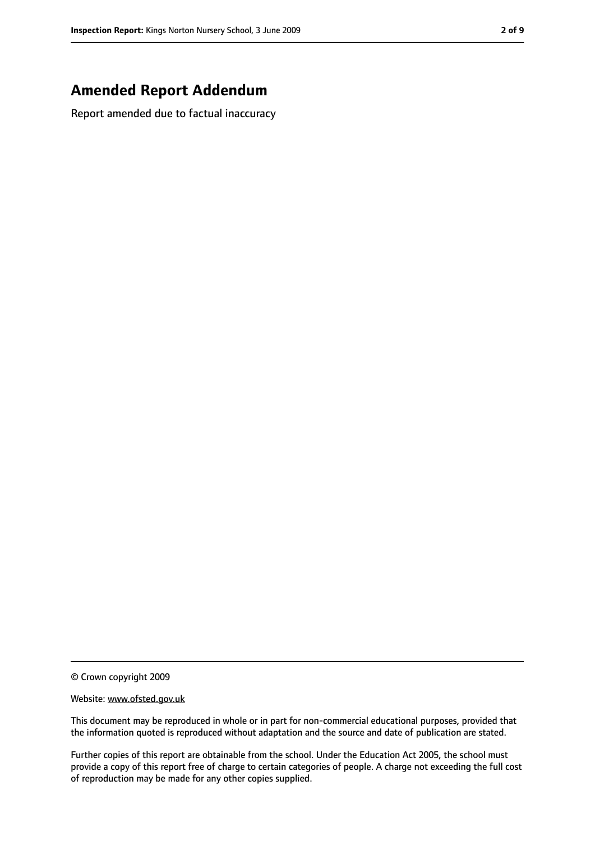#### **Amended Report Addendum**

Report amended due to factual inaccuracy

© Crown copyright 2009

Website: www.ofsted.gov.uk

This document may be reproduced in whole or in part for non-commercial educational purposes, provided that the information quoted is reproduced without adaptation and the source and date of publication are stated.

Further copies of this report are obtainable from the school. Under the Education Act 2005, the school must provide a copy of this report free of charge to certain categories of people. A charge not exceeding the full cost of reproduction may be made for any other copies supplied.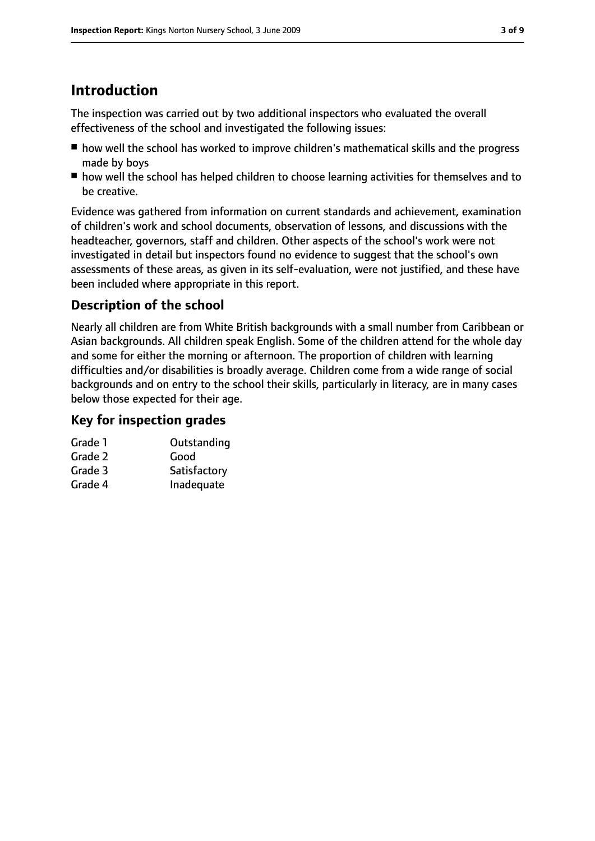# **Introduction**

The inspection was carried out by two additional inspectors who evaluated the overall effectiveness of the school and investigated the following issues:

- how well the school has worked to improve children's mathematical skills and the progress made by boys
- how well the school has helped children to choose learning activities for themselves and to be creative.

Evidence was gathered from information on current standards and achievement, examination of children's work and school documents, observation of lessons, and discussions with the headteacher, governors, staff and children. Other aspects of the school's work were not investigated in detail but inspectors found no evidence to suggest that the school's own assessments of these areas, as given in its self-evaluation, were not justified, and these have been included where appropriate in this report.

#### **Description of the school**

Nearly all children are from White British backgrounds with a small number from Caribbean or Asian backgrounds. All children speak English. Some of the children attend for the whole day and some for either the morning or afternoon. The proportion of children with learning difficulties and/or disabilities is broadly average. Children come from a wide range of social backgrounds and on entry to the school their skills, particularly in literacy, are in many cases below those expected for their age.

#### **Key for inspection grades**

| Grade 1 | Outstanding  |
|---------|--------------|
| Grade 2 | Good         |
| Grade 3 | Satisfactory |

Grade 4 Inadequate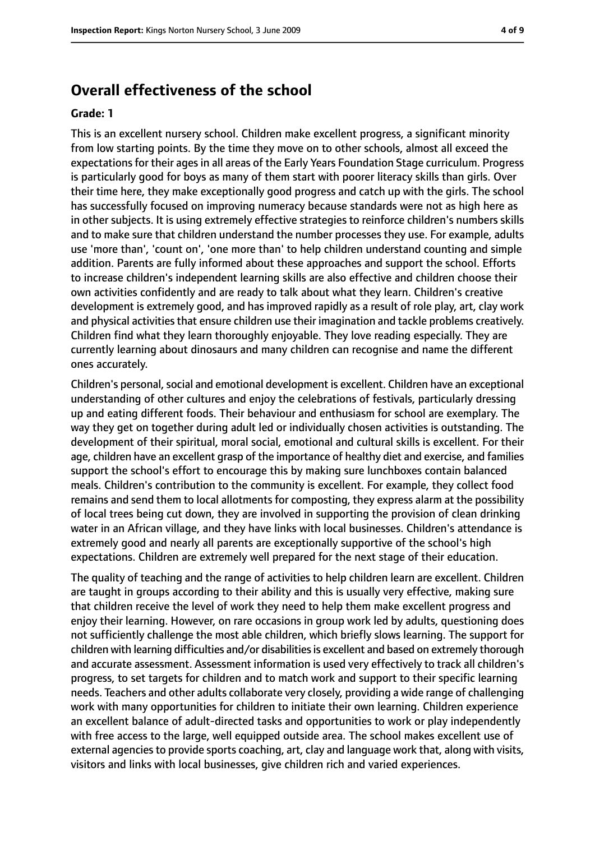#### **Overall effectiveness of the school**

#### **Grade: 1**

This is an excellent nursery school. Children make excellent progress, a significant minority from low starting points. By the time they move on to other schools, almost all exceed the expectations for their ages in all areas of the Early Years Foundation Stage curriculum. Progress is particularly good for boys as many of them start with poorer literacy skills than girls. Over their time here, they make exceptionally good progress and catch up with the girls. The school has successfully focused on improving numeracy because standards were not as high here as in other subjects. It is using extremely effective strategies to reinforce children's numbers skills and to make sure that children understand the number processes they use. For example, adults use 'more than', 'count on', 'one more than' to help children understand counting and simple addition. Parents are fully informed about these approaches and support the school. Efforts to increase children's independent learning skills are also effective and children choose their own activities confidently and are ready to talk about what they learn. Children's creative development is extremely good, and has improved rapidly as a result of role play, art, clay work and physical activities that ensure children use their imagination and tackle problems creatively. Children find what they learn thoroughly enjoyable. They love reading especially. They are currently learning about dinosaurs and many children can recognise and name the different ones accurately.

Children's personal, social and emotional development is excellent. Children have an exceptional understanding of other cultures and enjoy the celebrations of festivals, particularly dressing up and eating different foods. Their behaviour and enthusiasm for school are exemplary. The way they get on together during adult led or individually chosen activities is outstanding. The development of their spiritual, moral social, emotional and cultural skills is excellent. For their age, children have an excellent grasp of the importance of healthy diet and exercise, and families support the school's effort to encourage this by making sure lunchboxes contain balanced meals. Children's contribution to the community is excellent. For example, they collect food remains and send them to local allotments for composting, they express alarm at the possibility of local trees being cut down, they are involved in supporting the provision of clean drinking water in an African village, and they have links with local businesses. Children's attendance is extremely good and nearly all parents are exceptionally supportive of the school's high expectations. Children are extremely well prepared for the next stage of their education.

The quality of teaching and the range of activities to help children learn are excellent. Children are taught in groups according to their ability and this is usually very effective, making sure that children receive the level of work they need to help them make excellent progress and enjoy their learning. However, on rare occasions in group work led by adults, questioning does not sufficiently challenge the most able children, which briefly slows learning. The support for children with learning difficulties and/or disabilities is excellent and based on extremely thorough and accurate assessment. Assessment information is used very effectively to track all children's progress, to set targets for children and to match work and support to their specific learning needs. Teachers and other adults collaborate very closely, providing a wide range of challenging work with many opportunities for children to initiate their own learning. Children experience an excellent balance of adult-directed tasks and opportunities to work or play independently with free access to the large, well equipped outside area. The school makes excellent use of external agencies to provide sports coaching, art, clay and language work that, along with visits, visitors and links with local businesses, give children rich and varied experiences.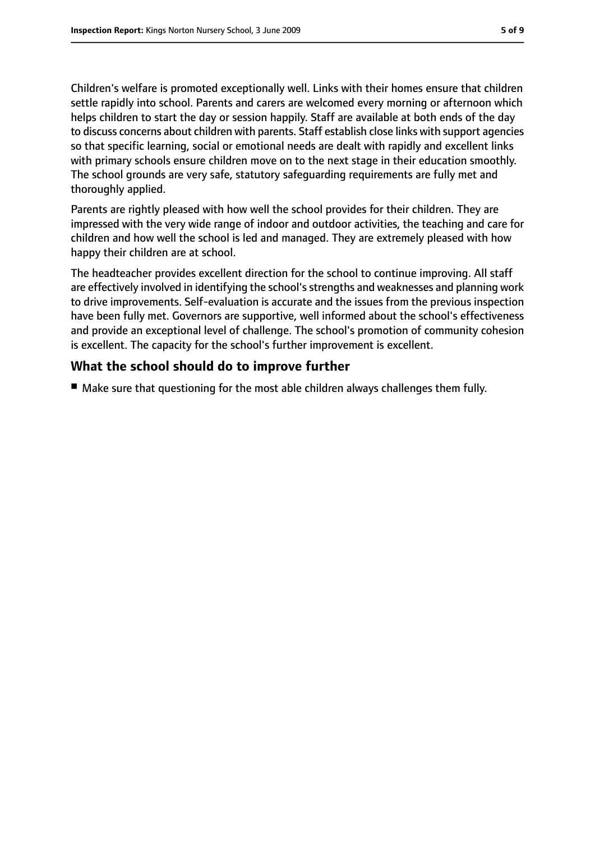Children's welfare is promoted exceptionally well. Links with their homes ensure that children settle rapidly into school. Parents and carers are welcomed every morning or afternoon which helps children to start the day or session happily. Staff are available at both ends of the day to discuss concerns about children with parents. Staff establish close links with support agencies so that specific learning, social or emotional needs are dealt with rapidly and excellent links with primary schools ensure children move on to the next stage in their education smoothly. The school grounds are very safe, statutory safeguarding requirements are fully met and thoroughly applied.

Parents are rightly pleased with how well the school provides for their children. They are impressed with the very wide range of indoor and outdoor activities, the teaching and care for children and how well the school is led and managed. They are extremely pleased with how happy their children are at school.

The headteacher provides excellent direction for the school to continue improving. All staff are effectively involved in identifying the school's strengths and weaknesses and planning work to drive improvements. Self-evaluation is accurate and the issues from the previous inspection have been fully met. Governors are supportive, well informed about the school's effectiveness and provide an exceptional level of challenge. The school's promotion of community cohesion is excellent. The capacity for the school's further improvement is excellent.

#### **What the school should do to improve further**

■ Make sure that questioning for the most able children always challenges them fully.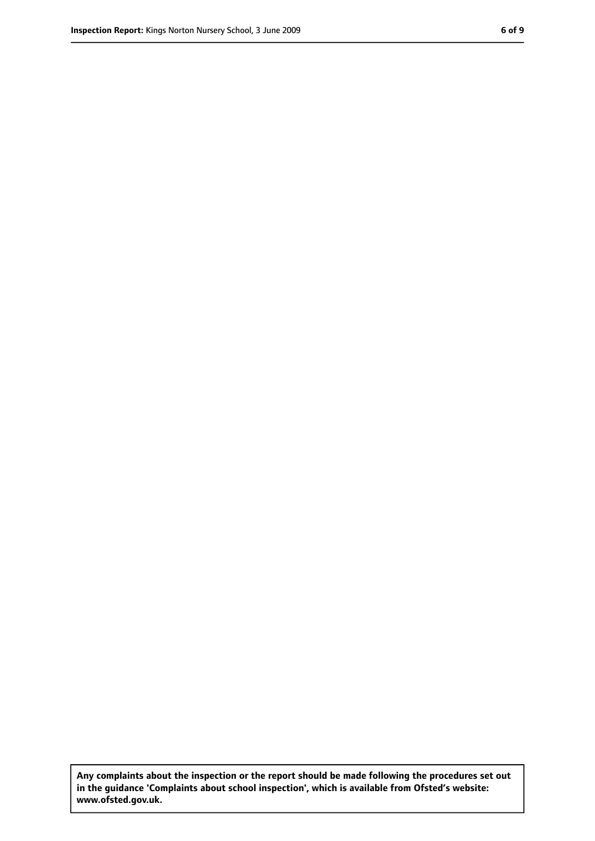**Any complaints about the inspection or the report should be made following the procedures set out in the guidance 'Complaints about school inspection', which is available from Ofsted's website: www.ofsted.gov.uk.**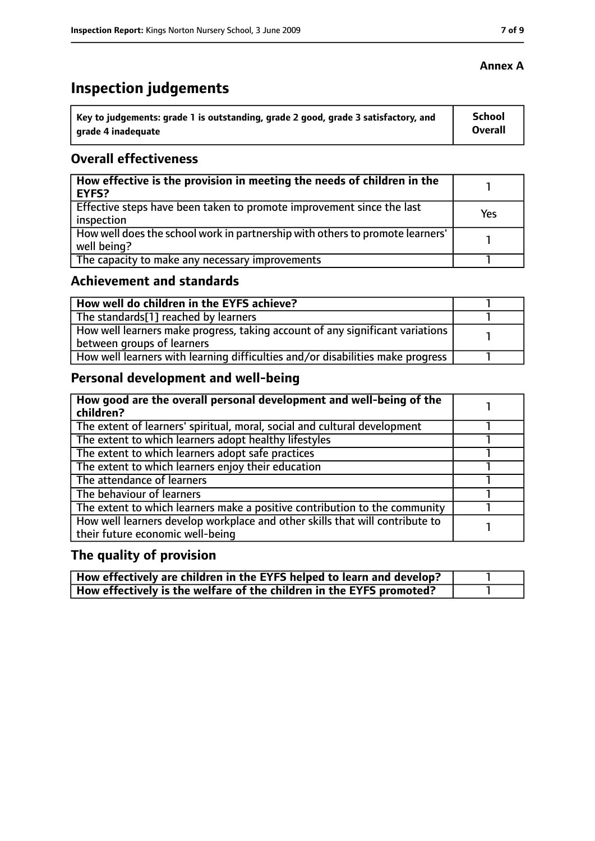# **Inspection judgements**

| ˈ Key to judgements: grade 1 is outstanding, grade 2 good, grade 3 satisfactory, and | <b>School</b> |
|--------------------------------------------------------------------------------------|---------------|
| arade 4 inadequate                                                                   | Overall       |

#### **Overall effectiveness**

| How effective is the provision in meeting the needs of children in the<br>EYFS?              |     |
|----------------------------------------------------------------------------------------------|-----|
| Effective steps have been taken to promote improvement since the last<br>inspection          | Yes |
| How well does the school work in partnership with others to promote learners'<br>well being? |     |
| The capacity to make any necessary improvements                                              |     |

#### **Achievement and standards**

| How well do children in the EYFS achieve?                                                                   |  |
|-------------------------------------------------------------------------------------------------------------|--|
| The standards[1] reached by learners                                                                        |  |
| How well learners make progress, taking account of any significant variations<br>between groups of learners |  |
| How well learners with learning difficulties and/or disabilities make progress                              |  |

## **Personal development and well-being**

| How good are the overall personal development and well-being of the<br>children?                                 |  |
|------------------------------------------------------------------------------------------------------------------|--|
| The extent of learners' spiritual, moral, social and cultural development                                        |  |
| The extent to which learners adopt healthy lifestyles                                                            |  |
| The extent to which learners adopt safe practices                                                                |  |
| The extent to which learners enjoy their education                                                               |  |
| The attendance of learners                                                                                       |  |
| The behaviour of learners                                                                                        |  |
| The extent to which learners make a positive contribution to the community                                       |  |
| How well learners develop workplace and other skills that will contribute to<br>their future economic well-being |  |

# **The quality of provision**

| How effectively are children in the EYFS helped to learn and develop? |  |
|-----------------------------------------------------------------------|--|
| How effectively is the welfare of the children in the EYFS promoted?  |  |

#### **Annex A**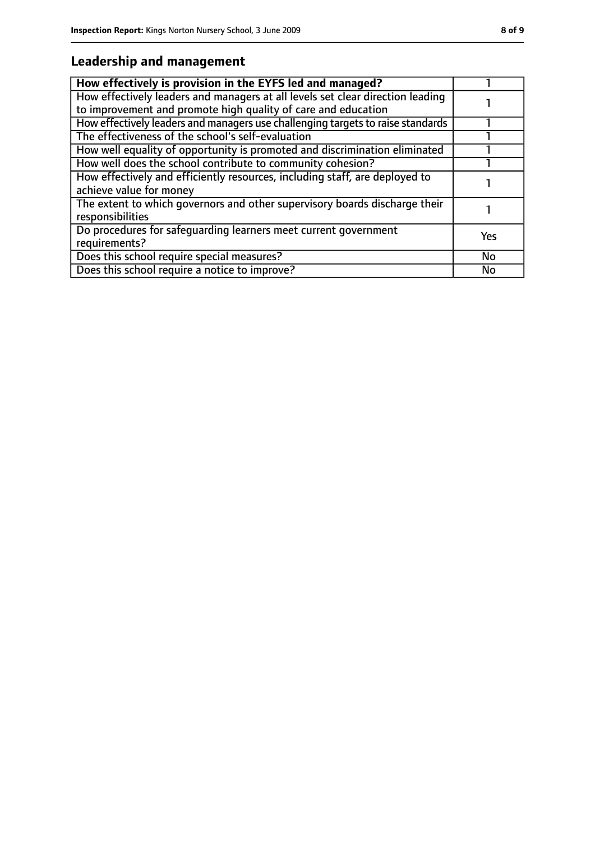## **Leadership and management**

| How effectively is provision in the EYFS led and managed?                                                                                       |     |
|-------------------------------------------------------------------------------------------------------------------------------------------------|-----|
| How effectively leaders and managers at all levels set clear direction leading<br>to improvement and promote high quality of care and education |     |
| How effectively leaders and managers use challenging targets to raise standards                                                                 |     |
| The effectiveness of the school's self-evaluation                                                                                               |     |
| How well equality of opportunity is promoted and discrimination eliminated                                                                      |     |
| How well does the school contribute to community cohesion?                                                                                      |     |
| How effectively and efficiently resources, including staff, are deployed to<br>achieve value for money                                          |     |
| The extent to which governors and other supervisory boards discharge their<br>responsibilities                                                  |     |
| Do procedures for safeguarding learners meet current government<br>requirements?                                                                | Yes |
| Does this school require special measures?                                                                                                      | No  |
| Does this school require a notice to improve?                                                                                                   | No  |